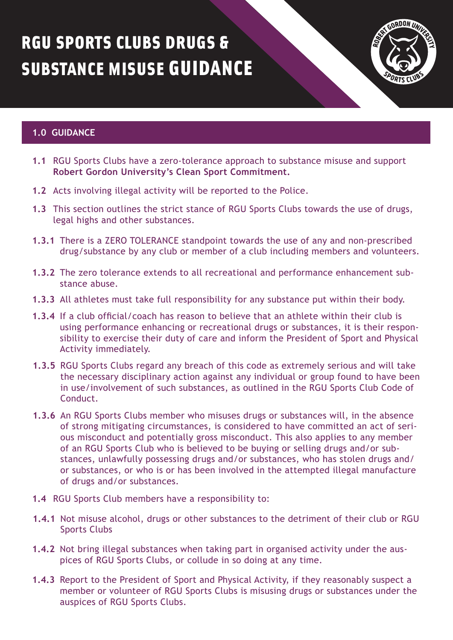## RGU SPORTS CLUBS DRUGS & SUBSTANCE MISUSE GUIDANCE



## **1.0 GUIDANCE**

- **1.1** RGU Sports Clubs have a zero-tolerance approach to substance misuse and support **Robert Gordon University's Clean Sport Commitment.**
- **1.2** Acts involving illegal activity will be reported to the Police.
- **1.3** This section outlines the strict stance of RGU Sports Clubs towards the use of drugs, legal highs and other substances.
- **1.3.1** There is a ZERO TOLERANCE standpoint towards the use of any and non-prescribed drug/substance by any club or member of a club including members and volunteers.
- **1.3.2** The zero tolerance extends to all recreational and performance enhancement substance abuse.
- **1.3.3** All athletes must take full responsibility for any substance put within their body.
- **1.3.4** If a club official/coach has reason to believe that an athlete within their club is using performance enhancing or recreational drugs or substances, it is their responsibility to exercise their duty of care and inform the President of Sport and Physical Activity immediately.
- **1.3.5** RGU Sports Clubs regard any breach of this code as extremely serious and will take the necessary disciplinary action against any individual or group found to have been in use/involvement of such substances, as outlined in the RGU Sports Club Code of Conduct.
- **1.3.6** An RGU Sports Clubs member who misuses drugs or substances will, in the absence of strong mitigating circumstances, is considered to have committed an act of serious misconduct and potentially gross misconduct. This also applies to any member of an RGU Sports Club who is believed to be buying or selling drugs and/or substances, unlawfully possessing drugs and/or substances, who has stolen drugs and/ or substances, or who is or has been involved in the attempted illegal manufacture of drugs and/or substances.
- **1.4** RGU Sports Club members have a responsibility to:
- **1.4.1** Not misuse alcohol, drugs or other substances to the detriment of their club or RGU Sports Clubs
- **1.4.2** Not bring illegal substances when taking part in organised activity under the auspices of RGU Sports Clubs, or collude in so doing at any time.
- **1.4.3** Report to the President of Sport and Physical Activity, if they reasonably suspect a member or volunteer of RGU Sports Clubs is misusing drugs or substances under the auspices of RGU Sports Clubs.